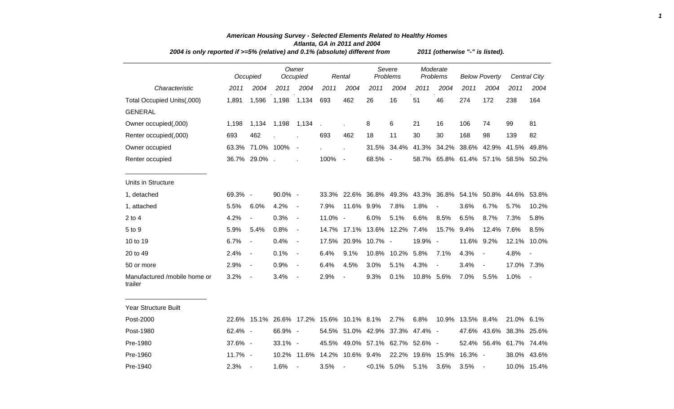|                                         | 2004 is only reported if >=5% (relative) and 0.1% (absolute) different from |                          |            |                          |                                          |                  |                |                                 |            |                          |                      | 2011 (otherwise "-" is listed).     |            |                          |  |  |  |
|-----------------------------------------|-----------------------------------------------------------------------------|--------------------------|------------|--------------------------|------------------------------------------|------------------|----------------|---------------------------------|------------|--------------------------|----------------------|-------------------------------------|------------|--------------------------|--|--|--|
|                                         |                                                                             | Occupied                 |            | Owner<br>Occupied        |                                          | Rental           |                | Severe<br>Problems              |            | Moderate<br>Problems     | <b>Below Poverty</b> |                                     |            | <b>Central City</b>      |  |  |  |
| Characteristic                          | 2011                                                                        | 2004                     | 2011       | 2004                     | 2011                                     | 2004             | 2011           | 2004                            | 2011       | 2004                     | 2011                 | 2004                                | 2011       | 2004                     |  |  |  |
| Total Occupied Units(,000)              | 1,891                                                                       | 1,596                    | 1,198      | 1,134                    | 693                                      | 462              | 26             | 16                              | 51         | 46                       | 274                  | 172                                 | 238        | 164                      |  |  |  |
| <b>GENERAL</b>                          |                                                                             |                          |            |                          |                                          |                  |                |                                 |            |                          |                      |                                     |            |                          |  |  |  |
| Owner occupied(,000)                    | 1,198                                                                       | 1,134                    | 1,198      | 1,134                    |                                          |                  | 8              | 6                               | 21         | 16                       | 106                  | 74                                  | 99         | 81                       |  |  |  |
| Renter occupied(,000)                   | 693                                                                         | 462                      |            |                          | 693                                      | 462              | 18             | 11                              | 30         | 30                       | 168                  | 98                                  | 139        | 82                       |  |  |  |
| Owner occupied                          |                                                                             | 63.3% 71.0% 100%         |            | $\sim$ $-$               |                                          |                  | 31.5%          | 34.4%                           | 41.3%      | 34.2%                    |                      | 38.6% 42.9%                         | 41.5%      | 49.8%                    |  |  |  |
| Renter occupied                         |                                                                             | 36.7% 29.0%.             |            |                          | 100% -                                   |                  | 68.5% -        |                                 |            |                          |                      | 58.7% 65.8% 61.4% 57.1% 58.5% 50.2% |            |                          |  |  |  |
| Units in Structure                      |                                                                             |                          |            |                          |                                          |                  |                |                                 |            |                          |                      |                                     |            |                          |  |  |  |
| 1, detached                             | 69.3% -                                                                     |                          | 90.0% -    |                          |                                          |                  |                | 33.3% 22.6% 36.8% 49.3% 43.3%   |            |                          |                      | 36.8% 54.1% 50.8% 44.6% 53.8%       |            |                          |  |  |  |
| 1, attached                             | 5.5%                                                                        | 6.0%                     | 4.2%       | $\overline{\phantom{a}}$ | 7.9%                                     | 11.6% 9.9%       |                | 7.8%                            | 1.8%       | $\overline{\phantom{a}}$ | 3.6%                 | 6.7%                                | 5.7%       | 10.2%                    |  |  |  |
| 2 to 4                                  | 4.2%                                                                        |                          | 0.3%       | $\blacksquare$           | 11.0% -                                  |                  | 6.0%           | 5.1%                            | 6.6%       | 8.5%                     | 6.5%                 | 8.7%                                | 7.3%       | 5.8%                     |  |  |  |
| 5 to 9                                  | 5.9%                                                                        | 5.4%                     | 0.8%       | $\overline{\phantom{a}}$ | 14.7%                                    | 17.1%            |                | 13.6% 12.2%                     | 7.4%       | 15.7%                    | 9.4%                 | 12.4%                               | 7.6%       | 8.5%                     |  |  |  |
| 10 to 19                                | 6.7%                                                                        | $\blacksquare$           | 0.4%       | $\overline{\phantom{a}}$ | 17.5%                                    |                  | 20.9% 10.7% -  |                                 | 19.9% -    |                          | 11.6%                | 9.2%                                |            | 12.1% 10.0%              |  |  |  |
| 20 to 49                                | 2.4%                                                                        | $\overline{\phantom{a}}$ | 0.1%       | $\overline{\phantom{a}}$ | 6.4%                                     | 9.1%             | 10.8%          | 10.2%                           | 5.8%       | 7.1%                     | 4.3%                 | $\overline{\phantom{a}}$            | 4.8%       | $\overline{\phantom{a}}$ |  |  |  |
| 50 or more                              | 2.9%                                                                        | $\blacksquare$           | 0.9%       | $\blacksquare$           | 6.4%                                     | 4.5%             | 3.0%           | 5.1%                            | 4.3%       | $\blacksquare$           | 3.4%                 | $\overline{\phantom{a}}$            | 17.0% 7.3% |                          |  |  |  |
| Manufactured /mobile home or<br>trailer | 3.2%                                                                        | $\sim$ $-$               | 3.4%       | $\blacksquare$           | 2.9%                                     | $\blacksquare$   | 9.3%           | 0.1%                            | 10.8% 5.6% |                          | 7.0%                 | 5.5%                                | $1.0\%$    | $\sim$                   |  |  |  |
| <b>Year Structure Built</b>             |                                                                             |                          |            |                          |                                          |                  |                |                                 |            |                          |                      |                                     |            |                          |  |  |  |
| Post-2000                               |                                                                             |                          |            |                          | 22.6% 15.1% 26.6% 17.2% 15.6% 10.1% 8.1% |                  |                | 2.7%                            | 6.8%       |                          | 10.9% 13.5% 8.4%     |                                     | 21.0% 6.1% |                          |  |  |  |
| Post-1980                               | 62.4% -                                                                     |                          | 66.9% -    |                          |                                          |                  |                | 54.5% 51.0% 42.9% 37.3% 47.4% - |            |                          |                      | 47.6% 43.6% 38.3% 25.6%             |            |                          |  |  |  |
| Pre-1980                                | 37.6% -                                                                     |                          | $33.1\% -$ |                          |                                          |                  |                | 45.5% 49.0% 57.1% 62.7% 52.6% - |            |                          |                      | 52.4% 56.4% 61.7% 74.4%             |            |                          |  |  |  |
| Pre-1960                                | 11.7% -                                                                     |                          |            | 10.2% 11.6%              |                                          | 14.2% 10.6% 9.4% |                | 22.2%                           |            | 19.6% 15.9%              | 16.3% -              |                                     |            | 38.0% 43.6%              |  |  |  |
| Pre-1940                                | 2.3%                                                                        | $\overline{\phantom{a}}$ | 1.6%       | $\sim$                   | 3.5%                                     | $\blacksquare$   | $< 0.1\%$ 5.0% |                                 | 5.1%       | 3.6%                     | 3.5%                 | $\blacksquare$                      |            | 10.0% 15.4%              |  |  |  |

## *American Housing Survey - Selected Elements Related to Healthy Homes Atlanta, GA in 2011 and 2004*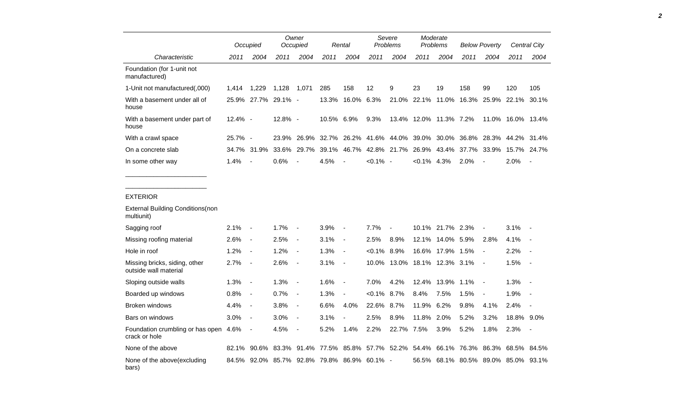|                                                        |         | Occupied            |         | Owner<br>Occupied                           |            | Rental         |             | Severe<br>Problems |                              | Moderate<br>Problems |      | <b>Below Poverty</b>                |                   | Central City             |
|--------------------------------------------------------|---------|---------------------|---------|---------------------------------------------|------------|----------------|-------------|--------------------|------------------------------|----------------------|------|-------------------------------------|-------------------|--------------------------|
| Characteristic                                         | 2011    | 2004                | 2011    | 2004                                        | 2011       | 2004           | 2011        | 2004               | 2011                         | 2004                 | 2011 | 2004                                | 2011              | 2004                     |
| Foundation (for 1-unit not<br>manufactured)            |         |                     |         |                                             |            |                |             |                    |                              |                      |      |                                     |                   |                          |
| 1-Unit not manufactured(,000)                          | 1,414   | 1,229               | 1,128   | 1,071                                       | 285        | 158            | 12          | 9                  | 23                           | 19                   | 158  | 99                                  | 120               | 105                      |
| With a basement under all of<br>house                  |         | 25.9% 27.7% 29.1% - |         |                                             | 13.3%      | 16.0%          | 6.3%        |                    | 21.0% 22.1% 11.0%            |                      |      | 16.3% 25.9%                         | 22.1%             | 30.1%                    |
| With a basement under part of<br>house                 | 12.4% - |                     | 12.8% - |                                             | 10.5% 6.9% |                | 9.3%        |                    | 13.4% 12.0% 11.3% 7.2%       |                      |      |                                     | 11.0% 16.0% 13.4% |                          |
| With a crawl space                                     | 25.7% - |                     |         | 23.9% 26.9% 32.7% 26.2% 41.6% 44.0%         |            |                |             |                    |                              |                      |      | 39.0% 30.0% 36.8% 28.3% 44.2% 31.4% |                   |                          |
| On a concrete slab                                     |         | 34.7% 31.9%         |         | 33.6% 29.7%                                 | 39.1%      |                |             | 46.7% 42.8% 21.7%  |                              |                      |      | 26.9% 43.4% 37.7% 33.9%             | 15.7% 24.7%       |                          |
| In some other way                                      | 1.4%    | $\sim$              | 0.6%    |                                             | 4.5%       |                | $< 0.1\%$ - |                    | $< 0.1\%$ 4.3%               |                      | 2.0% |                                     | 2.0%              | $\blacksquare$           |
| <b>External Building Conditions (non</b><br>multiunit) |         |                     |         |                                             |            |                |             |                    |                              |                      |      |                                     |                   |                          |
|                                                        |         |                     |         |                                             |            |                |             |                    |                              |                      |      |                                     |                   |                          |
| Sagging roof                                           | 2.1%    | $\sim$              | 1.7%    | $\blacksquare$                              | 3.9%       | $\overline{a}$ | 7.7%        |                    |                              | 10.1% 21.7% 2.3%     |      |                                     | 3.1%              |                          |
| Missing roofing material                               | 2.6%    | $\sim$              | 2.5%    | $\blacksquare$                              | 3.1%       | $\overline{a}$ | 2.5%        | 8.9%               |                              | 12.1% 14.0% 5.9%     |      | 2.8%                                | 4.1%              |                          |
| Hole in roof                                           | 1.2%    | $\sim$              | 1.2%    | $\overline{\phantom{a}}$                    | 1.3%       | $\blacksquare$ | $< 0.1\%$   | 8.9%               |                              | 16.6% 17.9% 1.5%     |      |                                     | 2.2%              |                          |
| Missing bricks, siding, other<br>outside wall material | 2.7%    | $\sim$              | 2.6%    | $\overline{\phantom{a}}$                    | 3.1%       | $\blacksquare$ |             |                    | 10.0% 13.0% 18.1% 12.3% 3.1% |                      |      | $\overline{\phantom{a}}$            | 1.5%              | $\overline{\phantom{a}}$ |
| Sloping outside walls                                  | 1.3%    | $\sim$              | 1.3%    | $\overline{a}$                              | 1.6%       | $\overline{a}$ | 7.0%        | 4.2%               | 12.4%                        | 13.9%                | 1.1% | $\overline{\phantom{a}}$            | 1.3%              |                          |
| Boarded up windows                                     | 0.8%    | $\sim$              | 0.7%    | $\overline{\phantom{a}}$                    | 1.3%       | $\overline{a}$ | $< 0.1\%$   | 8.7%               | 8.4%                         | 7.5%                 | 1.5% | $\overline{\phantom{a}}$            | 1.9%              |                          |
| Broken windows                                         | 4.4%    | $\sim$              | 3.8%    | $\overline{a}$                              | 6.6%       | 4.0%           | 22.6%       | 8.7%               | 11.9%                        | 6.2%                 | 9.8% | 4.1%                                | 2.4%              | $\overline{\phantom{a}}$ |
| Bars on windows                                        | 3.0%    | $\sim$              | 3.0%    | $\overline{a}$                              | 3.1%       | $\blacksquare$ | 2.5%        | 8.9%               | 11.8% 2.0%                   |                      | 5.2% | 3.2%                                | 18.8% 9.0%        |                          |
| Foundation crumbling or has open<br>crack or hole      | 4.6%    | $\sim$              | 4.5%    |                                             | 5.2%       | 1.4%           | 2.2%        | 22.7% 7.5%         |                              | 3.9%                 | 5.2% | 1.8%                                | 2.3%              | $\blacksquare$           |
| None of the above                                      |         | 82.1% 90.6%         |         | 83.3% 91.4% 77.5% 85.8% 57.7% 52.2%         |            |                |             |                    |                              |                      |      | 54.4% 66.1% 76.3% 86.3% 68.5% 84.5% |                   |                          |
| None of the above (excluding<br>bars)                  |         |                     |         | 84.5% 92.0% 85.7% 92.8% 79.8% 86.9% 60.1% - |            |                |             |                    |                              |                      |      | 56.5% 68.1% 80.5% 89.0% 85.0%       |                   | 93.1%                    |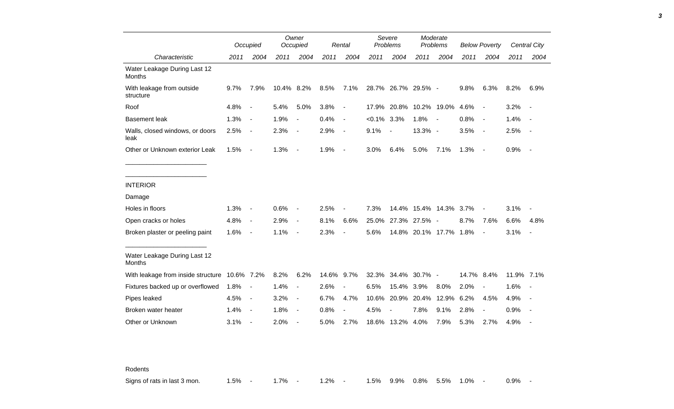|                                               |      | Occupied                 |       | Owner<br>Occupied        |       | Rental                   |           | Severe<br>Problems  |                        | Moderate<br>Problems     |            | <b>Below Poverty</b>     |            | Central City             |
|-----------------------------------------------|------|--------------------------|-------|--------------------------|-------|--------------------------|-----------|---------------------|------------------------|--------------------------|------------|--------------------------|------------|--------------------------|
| Characteristic                                | 2011 | 2004                     | 2011  | 2004                     | 2011  | 2004                     | 2011      | 2004                | 2011                   | 2004                     | 2011       | 2004                     | 2011       | 2004                     |
| Water Leakage During Last 12<br>Months        |      |                          |       |                          |       |                          |           |                     |                        |                          |            |                          |            |                          |
| With leakage from outside<br>structure        | 9.7% | 7.9%                     | 10.4% | 8.2%                     | 8.5%  | 7.1%                     |           | 28.7% 26.7% 29.5% - |                        |                          | 9.8%       | 6.3%                     | 8.2%       | 6.9%                     |
| Roof                                          | 4.8% | $\overline{\phantom{a}}$ | 5.4%  | 5.0%                     | 3.8%  | $\overline{\phantom{a}}$ | 17.9%     | 20.8%               |                        | 10.2% 19.0%              | 4.6%       | $\blacksquare$           | 3.2%       |                          |
| <b>Basement leak</b>                          | 1.3% | $\overline{\phantom{a}}$ | 1.9%  | $\blacksquare$           | 0.4%  | $\blacksquare$           | $< 0.1\%$ | 3.3%                | 1.8%                   | $\overline{\phantom{a}}$ | 0.8%       | $\overline{\phantom{a}}$ | 1.4%       | $\sim$                   |
| Walls, closed windows, or doors<br>leak       | 2.5% | $\overline{\phantom{a}}$ | 2.3%  | $\overline{\phantom{a}}$ | 2.9%  | $\blacksquare$           | 9.1%      | $\blacksquare$      | 13.3% -                |                          | 3.5%       | $\sim$                   | 2.5%       | $\sim$                   |
| Other or Unknown exterior Leak                | 1.5% | $\overline{\phantom{a}}$ | 1.3%  | $\overline{\phantom{a}}$ | 1.9%  | $\overline{\phantom{a}}$ | 3.0%      | 6.4%                | 5.0%                   | 7.1%                     | 1.3%       | $\sim$                   | 0.9%       | $\sim$                   |
| <b>INTERIOR</b>                               |      |                          |       |                          |       |                          |           |                     |                        |                          |            |                          |            |                          |
| Damage                                        |      |                          |       |                          |       |                          |           |                     |                        |                          |            |                          |            |                          |
| Holes in floors                               | 1.3% | $\overline{\phantom{a}}$ | 0.6%  | $\overline{a}$           | 2.5%  |                          | 7.3%      |                     | 14.4% 15.4% 14.3% 3.7% |                          |            |                          | 3.1%       |                          |
| Open cracks or holes                          | 4.8% | $\overline{\phantom{a}}$ | 2.9%  | $\overline{\phantom{a}}$ | 8.1%  | 6.6%                     | 25.0%     | 27.3%               | 27.5% -                |                          | 8.7%       | 7.6%                     | 6.6%       | 4.8%                     |
| Broken plaster or peeling paint               | 1.6% | $\overline{\phantom{a}}$ | 1.1%  | $\overline{\phantom{a}}$ | 2.3%  | $\overline{a}$           | 5.6%      |                     | 14.8% 20.1% 17.7%      |                          | 1.8%       | $\blacksquare$           | 3.1%       | $\overline{\phantom{a}}$ |
| Water Leakage During Last 12<br>Months        |      |                          |       |                          |       |                          |           |                     |                        |                          |            |                          |            |                          |
| With leakage from inside structure 10.6% 7.2% |      |                          | 8.2%  | 6.2%                     | 14.6% | $9.7\%$                  | 32.3%     | 34.4%               | $30.7\%$ -             |                          | 14.7% 8.4% |                          | 11.9% 7.1% |                          |
| Fixtures backed up or overflowed              | 1.8% | $\overline{\phantom{a}}$ | 1.4%  | $\blacksquare$           | 2.6%  | $\overline{a}$           | 6.5%      | 15.4%               | 3.9%                   | 8.0%                     | 2.0%       | $\overline{\phantom{a}}$ | 1.6%       |                          |
| Pipes leaked                                  | 4.5% | $\blacksquare$           | 3.2%  | $\blacksquare$           | 6.7%  | 4.7%                     | 10.6%     | 20.9%               | 20.4%                  | 12.9%                    | 6.2%       | 4.5%                     | 4.9%       |                          |
| Broken water heater                           | 1.4% | $\overline{\phantom{a}}$ | 1.8%  | $\overline{\phantom{a}}$ | 0.8%  |                          | 4.5%      |                     | 7.8%                   | 9.1%                     | 2.8%       |                          | 0.9%       |                          |
| Other or Unknown                              | 3.1% | $\overline{\phantom{a}}$ | 2.0%  | $\overline{a}$           | 5.0%  | 2.7%                     | 18.6%     | 13.2%               | 4.0%                   | 7.9%                     | 5.3%       | 2.7%                     | 4.9%       |                          |

Rodents

Signs of rats in last 3 mon. 4.5% - 1.7% - 1.2% - 1.5% 9.9% 0.8% 5.5% 1.0% - 0.9% -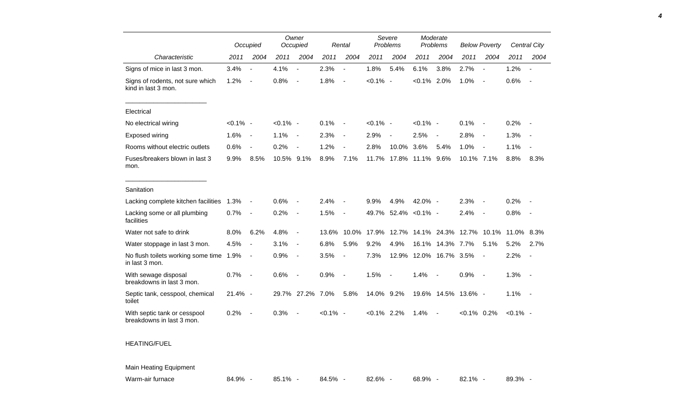|                                                           | Occupied    |                          |             | Owner<br>Occupied        |             | Rental                   | Severe<br>Problems |                          | Moderate<br>Problems |                          | <b>Below Poverty</b> |                          |             | Central City             |
|-----------------------------------------------------------|-------------|--------------------------|-------------|--------------------------|-------------|--------------------------|--------------------|--------------------------|----------------------|--------------------------|----------------------|--------------------------|-------------|--------------------------|
| Characteristic                                            | 2011        | 2004                     | 2011        | 2004                     | 2011        | 2004                     | 2011               | 2004                     | 2011                 | 2004                     | 2011                 | 2004                     | 2011        | 2004                     |
| Signs of mice in last 3 mon.                              | 3.4%        | $\overline{\phantom{a}}$ | 4.1%        | $\blacksquare$           | 2.3%        | $\blacksquare$           | 1.8%               | 5.4%                     | 6.1%                 | 3.8%                     | 2.7%                 | $\blacksquare$           | 1.2%        | $\overline{\phantom{a}}$ |
| Signs of rodents, not sure which<br>kind in last 3 mon.   | 1.2%        | $\overline{\phantom{a}}$ | 0.8%        | $\overline{\phantom{a}}$ | 1.8%        | $\overline{\phantom{a}}$ | $< 0.1\%$ -        |                          | $< 0.1\%$ 2.0%       |                          | 1.0%                 |                          | 0.6%        | $\overline{a}$           |
| Electrical                                                |             |                          |             |                          |             |                          |                    |                          |                      |                          |                      |                          |             |                          |
| No electrical wiring                                      | $< 0.1\%$ - |                          | $< 0.1\%$ - |                          | 0.1%        | $\overline{\phantom{a}}$ | $< 0.1\%$ -        |                          | $< 0.1\%$ -          |                          | 0.1%                 |                          | 0.2%        |                          |
| <b>Exposed wiring</b>                                     | 1.6%        | $\overline{\phantom{a}}$ | 1.1%        | $\sim$                   | 2.3%        | $\overline{\phantom{a}}$ | 2.9%               | $\overline{\phantom{a}}$ | 2.5%                 | $\overline{\phantom{a}}$ | 2.8%                 | $\blacksquare$           | 1.3%        | $\overline{\phantom{a}}$ |
| Rooms without electric outlets                            | 0.6%        | $\overline{\phantom{a}}$ | 0.2%        | $\blacksquare$           | 1.2%        | $\blacksquare$           | 2.8%               | 10.0%                    | 3.6%                 | 5.4%                     | 1.0%                 |                          | 1.1%        | $\overline{a}$           |
| Fuses/breakers blown in last 3<br>mon.                    | 9.9%        | 8.5%                     | 10.5% 9.1%  |                          | 8.9%        | 7.1%                     | 11.7%              |                          | 17.8% 11.1% 9.6%     |                          | 10.1% 7.1%           |                          | 8.8%        | 8.3%                     |
| Sanitation                                                |             |                          |             |                          |             |                          |                    |                          |                      |                          |                      |                          |             |                          |
| Lacking complete kitchen facilities                       | 1.3%        | $\blacksquare$           | 0.6%        | $\overline{\phantom{a}}$ | 2.4%        | $\overline{\phantom{a}}$ | 9.9%               | 4.9%                     | 42.0% -              |                          | 2.3%                 | $\blacksquare$           | 0.2%        | $\overline{a}$           |
| Lacking some or all plumbing<br>facilities                | 0.7%        | $\blacksquare$           | 0.2%        | $\overline{\phantom{a}}$ | 1.5%        | $\overline{\phantom{a}}$ | 49.7%              |                          | 52.4% < 0.1% -       |                          | 2.4%                 |                          | 0.8%        | $\overline{\phantom{a}}$ |
| Water not safe to drink                                   | 8.0%        | 6.2%                     | 4.8%        | $\overline{\phantom{a}}$ | 13.6%       | 10.0%                    | 17.9%              | 12.7%                    |                      | 14.1% 24.3% 12.7%        |                      | 10.1%                    | 11.0% 8.3%  |                          |
| Water stoppage in last 3 mon.                             | 4.5%        | $\blacksquare$           | 3.1%        | $\overline{\phantom{a}}$ | 6.8%        | 5.9%                     | 9.2%               | 4.9%                     |                      | 16.1% 14.3% 7.7%         |                      | 5.1%                     | 5.2%        | 2.7%                     |
| No flush toilets working some time 1.9%<br>in last 3 mon. |             | $\blacksquare$           | 0.9%        | $\sim$                   | 3.5%        | $\overline{\phantom{a}}$ | 7.3%               | 12.9%                    |                      | 12.0% 16.7% 3.5%         |                      | $\overline{a}$           | 2.2%        | $\overline{\phantom{a}}$ |
| With sewage disposal<br>breakdowns in last 3 mon.         | 0.7%        | $\sim$                   | 0.6%        | $\overline{\phantom{a}}$ | 0.9%        | $\blacksquare$           | 1.5%               | $\overline{\phantom{a}}$ | 1.4%                 | $\overline{\phantom{a}}$ | 0.9%                 | $\overline{\phantom{a}}$ | 1.3%        | $\overline{\phantom{a}}$ |
| Septic tank, cesspool, chemical<br>toilet                 | 21.4% -     |                          |             | 29.7% 27.2% 7.0%         |             | 5.8%                     | 14.0% 9.2%         |                          |                      | 19.6% 14.5%              | 13.6% -              |                          | 1.1%        | $\sim$                   |
| With septic tank or cesspool<br>breakdowns in last 3 mon. | 0.2%        | $\overline{\phantom{a}}$ | 0.3%        |                          | $< 0.1\%$ - |                          | $< 0.1\%$ 2.2%     |                          | 1.4%                 |                          | $< 0.1\%$ 0.2%       |                          | $< 0.1\%$ - |                          |
| <b>HEATING/FUEL</b>                                       |             |                          |             |                          |             |                          |                    |                          |                      |                          |                      |                          |             |                          |
|                                                           |             |                          |             |                          |             |                          |                    |                          |                      |                          |                      |                          |             |                          |

Main Heating Equipment

Warm-air furnace **84.9% - 85.1% - 84.5% - 82.6% - 68.9% -** 82.1% - 89.3% -

*4*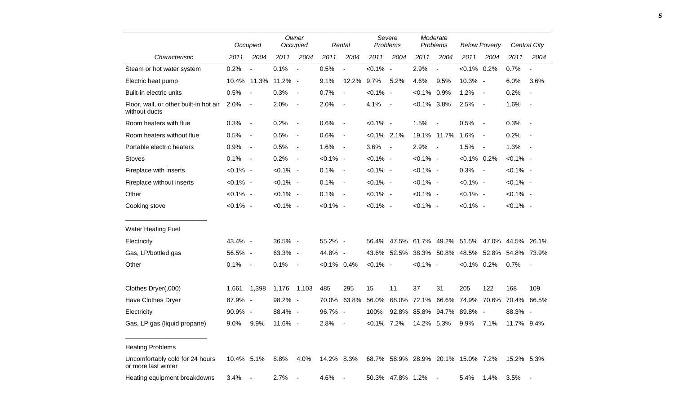|                                                         |             | Occupied                 |             | Owner<br>Occupied        |                | Rental         |                | Severe<br>Problems                 |                | Moderate<br>Problems     |                | <b>Below Poverty</b>                |             | Central City             |
|---------------------------------------------------------|-------------|--------------------------|-------------|--------------------------|----------------|----------------|----------------|------------------------------------|----------------|--------------------------|----------------|-------------------------------------|-------------|--------------------------|
| Characteristic                                          | 2011        | 2004                     | 2011        | 2004                     | 2011           | 2004           | 2011           | 2004                               | 2011           | 2004                     | 2011           | 2004                                | 2011        | 2004                     |
| Steam or hot water system                               | 0.2%        | $\overline{\phantom{a}}$ | 0.1%        | $\overline{\phantom{a}}$ | 0.5%           | $\overline{a}$ | $< 0.1\%$ -    |                                    | 2.9%           | $\frac{1}{2}$            | $< 0.1\%$ 0.2% |                                     | 0.7%        | $\overline{\phantom{a}}$ |
| Electric heat pump                                      |             | 10.4% 11.3%              | 11.2% -     |                          | 9.1%           | 12.2% 9.7%     |                | 5.2%                               | 4.6%           | 9.5%                     | 10.3% -        |                                     | 6.0%        | 3.6%                     |
| Built-in electric units                                 | 0.5%        | $\sim$                   | 0.3%        | $\sim$                   | 0.7%           | $\blacksquare$ | $< 0.1\%$ -    |                                    | $< 0.1\%$      | 0.9%                     | 1.2%           | $\sim$                              | 0.2%        | $\overline{\phantom{a}}$ |
| Floor, wall, or other built-in hot air<br>without ducts | 2.0%        | $\sim$                   | 2.0%        | $\overline{\phantom{a}}$ | 2.0%           | $\blacksquare$ | 4.1%           | $\sim$ $-$                         | $< 0.1\%$ 3.8% |                          | 2.5%           | $\sim$                              | 1.6%        | $\sim$                   |
| Room heaters with flue                                  | 0.3%        | $\sim$ $-$               | 0.2%        | $\sim$                   | 0.6%           | $\blacksquare$ | $< 0.1\%$ -    |                                    | 1.5%           | $\overline{\phantom{a}}$ | 0.5%           | $\sim$                              | 0.3%        | $\sim$                   |
| Room heaters without flue                               | 0.5%        | $\sim$ $-$               | 0.5%        | $\blacksquare$           | 0.6%           | $\blacksquare$ | $< 0.1\%$ 2.1% |                                    |                | 19.1% 11.7%              | 1.6%           | $\sim$                              | 0.2%        | $\overline{\phantom{a}}$ |
| Portable electric heaters                               | 0.9%        | $\sim$ $-$               | 0.5%        | $\sim$ $-$               | 1.6%           | $\sim$         | $3.6\%$ -      |                                    | 2.9%           | $\sim$                   | 1.5%           | $\sim$ $-$                          | 1.3%        | $\sim$ $-$               |
| <b>Stoves</b>                                           | 0.1%        | $\sim$ $-$               | 0.2%        | $\sim$ $-$               | $< 0.1\%$ -    |                | $< 0.1\%$ -    |                                    | $< 0.1\%$ -    |                          | $< 0.1\%$ 0.2% |                                     | $< 0.1\%$ - |                          |
| Fireplace with inserts                                  | $< 0.1\%$ - |                          | $< 0.1\%$ - |                          | 0.1%           | $\sim$         | $< 0.1\%$ -    |                                    | $< 0.1\%$ -    |                          | 0.3%           | $\sim$                              | $< 0.1\%$ - |                          |
| Fireplace without inserts                               | $< 0.1\%$ - |                          | $< 0.1\%$ - |                          | 0.1%           | $\blacksquare$ | $< 0.1\%$ -    |                                    | $< 0.1\%$ -    |                          | $< 0.1\%$ -    |                                     | $< 0.1\%$ - |                          |
| Other                                                   | $< 0.1\%$ - |                          | $< 0.1\%$ - |                          | 0.1%           | $\blacksquare$ | $< 0.1\%$ -    |                                    | $< 0.1\%$ -    |                          | $< 0.1\%$ -    |                                     | $< 0.1\%$ - |                          |
| Cooking stove                                           | $< 0.1\%$ - |                          | $< 0.1\%$ - |                          | $< 0.1\%$ -    |                | $< 0.1\%$ -    |                                    | $< 0.1\%$ -    |                          | $< 0.1\%$ -    |                                     | $< 0.1\%$ - |                          |
| <b>Water Heating Fuel</b>                               |             |                          |             |                          |                |                |                |                                    |                |                          |                |                                     |             |                          |
| Electricity                                             | 43.4% -     |                          | 36.5% -     |                          | 55.2% -        |                |                |                                    |                |                          |                | 56.4% 47.5% 61.7% 49.2% 51.5% 47.0% | 44.5% 26.1% |                          |
| Gas, LP/bottled gas                                     | 56.5% -     |                          | 63.3% -     |                          | 44.8% -        |                |                | 43.6% 52.5%                        |                | 38.3% 50.8%              |                | 48.5% 52.8% 54.8% 73.9%             |             |                          |
| Other                                                   | 0.1%        | $\sim$ $-$               | 0.1%        | $\sim$                   | $< 0.1\%$ 0.4% |                | $< 0.1\%$ -    |                                    | $< 0.1\%$ -    |                          | $< 0.1\%$ 0.2% |                                     | 0.7%        | $\overline{\phantom{a}}$ |
| Clothes Dryer(,000)                                     | 1,661       | 1,398                    | 1,176       | 1,103                    | 485            | 295            | 15             | 11                                 | 37             | 31                       | 205            | 122                                 | 168         | 109                      |
| Have Clothes Dryer                                      | 87.9% -     |                          | 98.2% -     |                          | 70.0%          | 63.8%          | 56.0%          |                                    | 68.0% 72.1%    | 66.6%                    | 74.9%          | 70.6%                               | 70.4%       | 66.5%                    |
| Electricity                                             | 90.9% -     |                          | 88.4% -     |                          | 96.7% -        |                | 100%           | 92.8%                              | 85.8%          | 94.7%                    | 89.8% -        |                                     | 88.3% -     |                          |
| Gas, LP gas (liquid propane)                            | 9.0%        | 9.9%                     | 11.6% -     |                          | 2.8%           | $\blacksquare$ | $< 0.1\%$ 7.2% |                                    | 14.2% 5.3%     |                          | 9.9%           | 7.1%                                | 11.7% 9.4%  |                          |
| <b>Heating Problems</b>                                 |             |                          |             |                          |                |                |                |                                    |                |                          |                |                                     |             |                          |
| Uncomfortably cold for 24 hours<br>or more last winter  | 10.4% 5.1%  |                          | 8.8%        | 4.0%                     | 14.2% 8.3%     |                |                | 68.7% 58.9% 28.9% 20.1% 15.0% 7.2% |                |                          |                |                                     | 15.2% 5.3%  |                          |
| Heating equipment breakdowns                            | 3.4%        | $\sim$ $-$               | 2.7%        |                          | 4.6%           | $\blacksquare$ |                | 50.3% 47.8% 1.2%                   |                |                          | 5.4%           | 1.4%                                | 3.5%        |                          |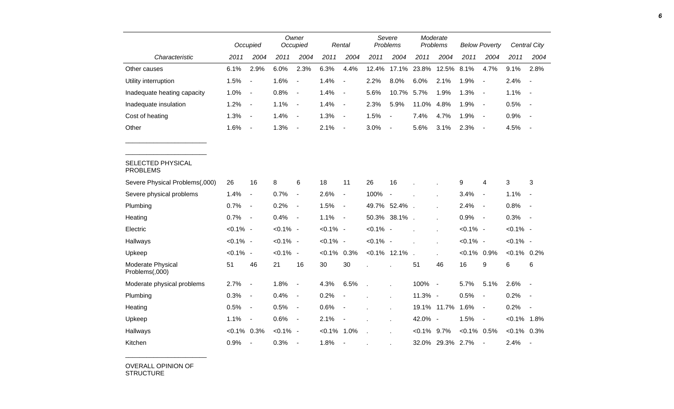|                                      |                | Occupied                     |             | Owner<br>Occupied        |             | Rental                       |             | Severe<br>Problems       |              | Moderate<br>Problems     |                | <b>Below Poverty</b>     |                | Central City             |
|--------------------------------------|----------------|------------------------------|-------------|--------------------------|-------------|------------------------------|-------------|--------------------------|--------------|--------------------------|----------------|--------------------------|----------------|--------------------------|
| Characteristic                       | 2011           | 2004                         | 2011        | 2004                     | 2011        | 2004                         | 2011        | 2004                     | 2011         | 2004                     | 2011           | 2004                     | 2011           | 2004                     |
| Other causes                         | 6.1%           | 2.9%                         | 6.0%        | 2.3%                     | 6.3%        | 4.4%                         | 12.4%       | 17.1%                    | 23.8%        | 12.5%                    | 8.1%           | 4.7%                     | 9.1%           | 2.8%                     |
| Utility interruption                 | 1.5%           | $\qquad \qquad \blacksquare$ | 1.6%        | $\blacksquare$           | 1.4%        | $\qquad \qquad \blacksquare$ | 2.2%        | 8.0%                     | 6.0%         | 2.1%                     | 1.9%           | $\overline{\phantom{a}}$ | 2.4%           |                          |
| Inadequate heating capacity          | 1.0%           | $\overline{\phantom{a}}$     | 0.8%        | $\overline{\phantom{a}}$ | 1.4%        | $\blacksquare$               | 5.6%        | 10.7%                    | 5.7%         | 1.9%                     | 1.3%           | $\overline{\phantom{a}}$ | 1.1%           | $\overline{\phantom{a}}$ |
| Inadequate insulation                | 1.2%           | $\qquad \qquad \blacksquare$ | 1.1%        | $\blacksquare$           | 1.4%        | $\blacksquare$               | 2.3%        | 5.9%                     | 11.0%        | 4.8%                     | 1.9%           | $\overline{\phantom{a}}$ | 0.5%           |                          |
| Cost of heating                      | 1.3%           | $\qquad \qquad \blacksquare$ | 1.4%        | $\blacksquare$           | 1.3%        | $\blacksquare$               | 1.5%        | $\overline{\phantom{a}}$ | 7.4%         | 4.7%                     | 1.9%           | $\blacksquare$           | 0.9%           | $\overline{\phantom{a}}$ |
| Other                                | 1.6%           | $\qquad \qquad \blacksquare$ | 1.3%        | $\overline{\phantom{a}}$ | 2.1%        | $\overline{\phantom{a}}$     | 3.0%        | $\overline{\phantom{a}}$ | 5.6%         | 3.1%                     | 2.3%           | $\overline{\phantom{a}}$ | 4.5%           | $\overline{\phantom{a}}$ |
|                                      |                |                              |             |                          |             |                              |             |                          |              |                          |                |                          |                |                          |
| SELECTED PHYSICAL<br><b>PROBLEMS</b> |                |                              |             |                          |             |                              |             |                          |              |                          |                |                          |                |                          |
| Severe Physical Problems(,000)       | 26             | 16                           | 8           | 6                        | 18          | 11                           | 26          | 16                       |              |                          | 9              | 4                        | 3              | 3                        |
| Severe physical problems             | 1.4%           | $\qquad \qquad \blacksquare$ | 0.7%        | $\overline{\phantom{a}}$ | 2.6%        | $\blacksquare$               | 100%        | $\overline{\phantom{a}}$ |              |                          | 3.4%           | $\blacksquare$           | 1.1%           |                          |
| Plumbing                             | 0.7%           | $\qquad \qquad \blacksquare$ | 0.2%        | $\blacksquare$           | 1.5%        | $\overline{\phantom{a}}$     |             | 49.7% 52.4%.             |              |                          | 2.4%           | $\overline{\phantom{a}}$ | 0.8%           |                          |
| Heating                              | 0.7%           | $\qquad \qquad \blacksquare$ | 0.4%        | $\blacksquare$           | 1.1%        | $\blacksquare$               |             | 50.3% 38.1%              | $\mathbf{r}$ |                          | 0.9%           | $\overline{\phantom{a}}$ | 0.3%           | $\sim$                   |
| Electric                             | $< 0.1\%$ -    |                              | $< 0.1\%$ - |                          | $< 0.1\%$ - |                              | $< 0.1\%$ - |                          |              |                          | $< 0.1\%$ -    |                          | $< 0.1\%$ -    |                          |
| Hallways                             | $< 0.1\%$ -    |                              | $< 0.1\%$ - |                          | $< 0.1\%$ - |                              | $< 0.1\%$ - |                          |              |                          | $< 0.1\%$ -    |                          | $< 0.1\%$ -    |                          |
| Upkeep                               | $< 0.1\%$ -    |                              | $< 0.1\%$ - |                          | $< 0.1\%$   | 0.3%                         |             | $< 0.1\%$ 12.1%          |              |                          | $< 0.1\%$      | 0.9%                     | $< 0.1\%$ 0.2% |                          |
| Moderate Physical<br>Problems(,000)  | 51             | 46                           | 21          | 16                       | 30          | 30                           |             |                          | 51           | 46                       | 16             | 9                        | 6              | 6                        |
| Moderate physical problems           | 2.7%           | $\overline{a}$               | 1.8%        | $\overline{\phantom{a}}$ | 4.3%        | 6.5%                         | l,          | ä,                       | 100%         | $\blacksquare$           | 5.7%           | 5.1%                     | 2.6%           |                          |
| Plumbing                             | 0.3%           | $\blacksquare$               | 0.4%        | $\blacksquare$           | 0.2%        | $\blacksquare$               |             |                          | 11.3% -      |                          | 0.5%           | $\blacksquare$           | 0.2%           | $\overline{\phantom{a}}$ |
| Heating                              | 0.5%           | $\qquad \qquad \blacksquare$ | 0.5%        | $\overline{\phantom{a}}$ | 0.6%        |                              |             |                          |              | 19.1% 11.7%              | 1.6%           | $\overline{\phantom{a}}$ | 0.2%           |                          |
| Upkeep                               | 1.1%           | $\overline{\phantom{a}}$     | 0.6%        | $\blacksquare$           | 2.1%        | $\overline{\phantom{a}}$     |             | k,                       | 42.0%        | $\overline{\phantom{a}}$ | 1.5%           | $\overline{\phantom{a}}$ | $< 0.1\%$ 1.8% |                          |
| Hallways                             | $< 0.1\%$ 0.3% |                              | $< 0.1\%$ - |                          | $< 0.1\%$   | 1.0%                         |             |                          | $< 0.1\%$    | 9.7%                     | $< 0.1\%$ 0.5% |                          | $< 0.1\%$ 0.3% |                          |
| Kitchen                              | 0.9%           | $\overline{\phantom{a}}$     | 0.3%        | $\overline{\phantom{a}}$ | 1.8%        | $\overline{\phantom{a}}$     |             |                          | 32.0%        | 29.3%                    | 2.7%           | $\overline{\phantom{a}}$ | 2.4%           | $\blacksquare$           |

OVERALL OPINION OF STRUCTURE

\_\_\_\_\_\_\_\_\_\_\_\_\_\_\_\_\_\_\_\_\_\_\_